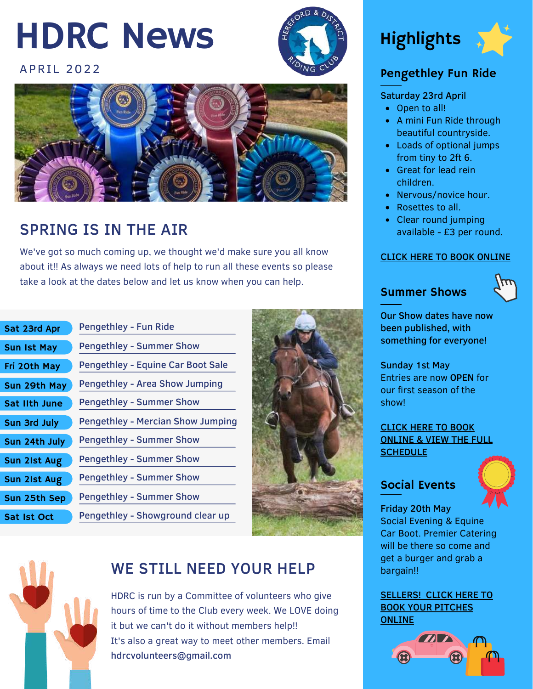## HDRC News

#### **APRII 2022**





### SPRING IS IN THE AIR

We've got so much coming up, we thought we'd make sure you all know about it!! As always we need lots of help to run all these events so please take a look at the dates below and let us know when you can help.

| Sat 23rd Apr         | Pengethley - Fun Ride                    |
|----------------------|------------------------------------------|
| <b>Sun Ist May</b>   | <b>Pengethley - Summer Show</b>          |
| Fri 20th May         | <b>Pengethley - Equine Car Boot Sale</b> |
| Sun 29th May         | <b>Pengethley - Area Show Jumping</b>    |
| <b>Sat IIth June</b> | <b>Pengethley - Summer Show</b>          |
| Sun 3rd July         | <b>Pengethley - Mercian Show Jumping</b> |
| Sun 24th July        | <b>Pengethley - Summer Show</b>          |
| Sun 21st Aug         | <b>Pengethley - Summer Show</b>          |
| Sun 21st Aug         | <b>Pengethley - Summer Show</b>          |
| Sun 25th Sep         | <b>Pengethley - Summer Show</b>          |
| Sat Ist Oct          | Pengethley - Showground clear up         |
|                      |                                          |



## WE STILL NEED YOUR HELP

HDRC is run by a Committee of volunteers who give hours of time to the Club every week. We LOVE doing it but we can't do it without members help!! It's also a great way to meet other members. Email [hdrcvolunteers@gmail.com](mailto:hdrcvolunteers@gmail.com)





### Pengethley Fun Ride

#### Saturday 23rd April

- Open to all!
- A mini Fun Ride through beautiful countryside.
- Loads of optional jumps from tiny to 2ft 6.
- Great for lead rein children.
- Nervous/novice hour.
- Rosettes to all.
- Clear round jumping available - £3 per round.

#### CLICK HERE TO BOOK [ONLINE](https://hereford-riding-club.org.uk/product/open-to-all-pengethley-mini-fun-ride-saturday-23rd-april)

#### Summer Shows



Our Show dates have now been published, with something for everyone!

Sunday 1st May Entries are now OPEN for our first season of the show!

#### CLICK HERE TO BOOK [ONLINE](https://hereford-riding-club.org.uk/product/open-to-all-winter-dressage-at-kings-19th-february) & VIEW THE FULL **[SCHEDULE](https://hereford-riding-club.org.uk/product/open-to-all-winter-dressage-at-kings-19th-february)**

#### Social Events



Friday 20th May Social Evening & Equine Car Boot. Premier Catering will be there so come and get a burger and grab a bargain!!

[SELLERS!](https://hereford-riding-club.org.uk/product/open-to-all-social-evening-equine-car-boot-sale-friday-20th-may) CLICK HERE TO BOOK YOUR PITCHES **ONLINE** 

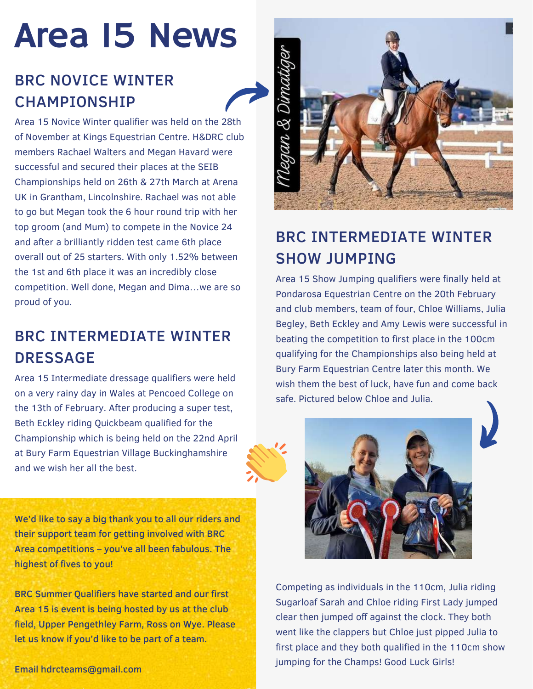# Area 15 News

## BRC NOVICE WINTER **CHAMPIONSHIP**

Area 15 Novice Winter qualifier was held on the 28th of November at Kings Equestrian Centre. H&DRC club members Rachael Walters and Megan Havard were successful and secured their places at the SEIB Championships held on 26th & 27th March at Arena UK in Grantham, Lincolnshire. Rachael was not able to go but Megan took the 6 hour round trip with her top groom (and Mum) to compete in the Novice 24 and after a brilliantly ridden test came 6th place overall out of 25 starters. With only 1.52% between the 1st and 6th place it was an incredibly close competition. Well done, Megan and Dima…we are so proud of you.

## BRC INTERMEDIATE WINTER **DRESSAGE**

Area 15 Intermediate dressage qualifiers were held on a very rainy day in Wales at Pencoed College on the 13th of February. After producing a super test, Beth Eckley riding Quickbeam qualified for the Championship which is being held on the 22nd April at Bury Farm Equestrian Village Buckinghamshire and we wish her all the best.

We'd like to say a big thank you to all our riders and their support team for getting involved with BRC Area competitions – you've all been fabulous. The highest of fives to you!

BRC Summer Qualifiers have started and our first Area 15 is event is being hosted by us at the club field, Upper Pengethley Farm, Ross on Wye. Please let us know if you'd like to be part of a team.



## BRC INTERMEDIATE WINTER SHOW JUMPING

Area 15 Show Jumping qualifiers were finally held at Pondarosa Equestrian Centre on the 20th February and club members, team of four, Chloe Williams, Julia Begley, Beth Eckley and Amy Lewis were successful in beating the competition to first place in the 100cm qualifying for the Championships also being held at Bury Farm Equestrian Centre later this month. We wish them the best of luck, have fun and come back safe. Pictured below Chloe and Julia.



Competing as individuals in the 110cm, Julia riding Sugarloaf Sarah and Chloe riding First Lady jumped clear then jumped off against the clock. They both went like the clappers but Chloe just pipped Julia to first place and they both qualified in the 110cm show jumping for the Champs! Good Luck Girls!